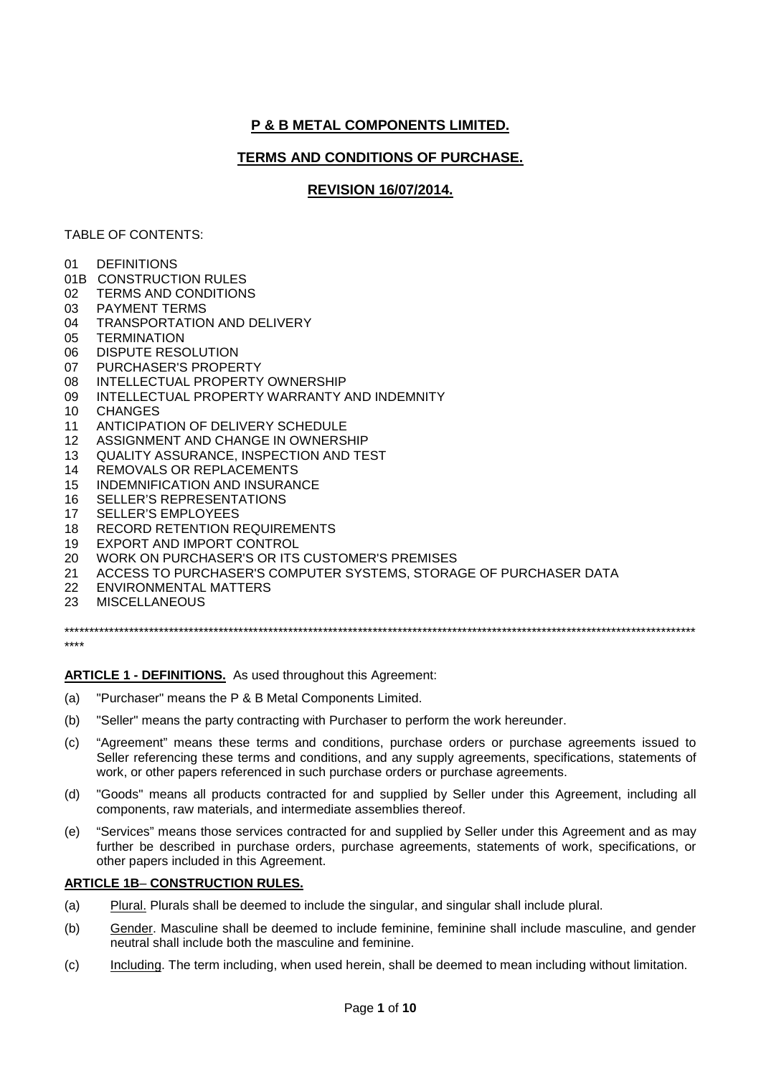# **P & B METAL COMPONENTS LIMITED.**

## **TERMS AND CONDITIONS OF PURCHASE.**

## **REVISION 16/07/2014.**

### TABLE OF CONTENTS:

- 01 DEFINITIONS
- 01B CONSTRUCTION RULES
- 02 TERMS AND CONDITIONS
- 03 PAYMENT TERMS
- 04 TRANSPORTATION AND DELIVERY
- 05 TERMINATION
- 06 DISPUTE RESOLUTION
- 07 PURCHASER'S PROPERTY
- 08 INTELLECTUAL PROPERTY OWNERSHIP
- 09 INTELLECTUAL PROPERTY WARRANTY AND INDEMNITY
- 10 CHANGES
- 11 ANTICIPATION OF DELIVERY SCHEDULE
- 12 ASSIGNMENT AND CHANGE IN OWNERSHIP
- 13 QUALITY ASSURANCE, INSPECTION AND TEST
- 14 REMOVALS OR REPLACEMENTS
- 15 INDEMNIFICATION AND INSURANCE
- 16 SELLER'S REPRESENTATIONS<br>17 SELLER'S EMPLOYEES
- SELLER'S EMPLOYEES
- 18 RECORD RETENTION REQUIREMENTS
- 19 EXPORT AND IMPORT CONTROL
- 20 WORK ON PURCHASER'S OR ITS CUSTOMER'S PREMISES
- 21 ACCESS TO PURCHASER'S COMPUTER SYSTEMS, STORAGE OF PURCHASER DATA
- 22 ENVIRONMENTAL MATTERS
- 23 MISCELLANEOUS

\*\*\*\*\*\*\*\*\*\*\*\*\*\*\*\*\*\*\*\*\*\*\*\*\*\*\*\*\*\*\*\*\*\*\*\*\*\*\*\*\*\*\*\*\*\*\*\*\*\*\*\*\*\*\*\*\*\*\*\*\*\*\*\*\*\*\*\*\*\*\*\*\*\*\*\*\*\*\*\*\*\*\*\*\*\*\*\*\*\*\*\*\*\*\*\*\*\*\*\*\*\*\*\*\*\*\*\*\*\*\*\*\*\*\*\*\*\*\*\*\*\*\*\*\*\*\*

\*\*\*\*

**ARTICLE 1 - DEFINITIONS.** As used throughout this Agreement:

- (a) "Purchaser" means the P & B Metal Components Limited.
- (b) "Seller" means the party contracting with Purchaser to perform the work hereunder.
- (c) "Agreement" means these terms and conditions, purchase orders or purchase agreements issued to Seller referencing these terms and conditions, and any supply agreements, specifications, statements of work, or other papers referenced in such purchase orders or purchase agreements.
- (d) "Goods" means all products contracted for and supplied by Seller under this Agreement, including all components, raw materials, and intermediate assemblies thereof.
- (e) "Services" means those services contracted for and supplied by Seller under this Agreement and as may further be described in purchase orders, purchase agreements, statements of work, specifications, or other papers included in this Agreement.

### **ARTICLE 1B**– **CONSTRUCTION RULES.**

- (a) Plural. Plurals shall be deemed to include the singular, and singular shall include plural.
- (b) Gender. Masculine shall be deemed to include feminine, feminine shall include masculine, and gender neutral shall include both the masculine and feminine.
- (c) Including. The term including, when used herein, shall be deemed to mean including without limitation.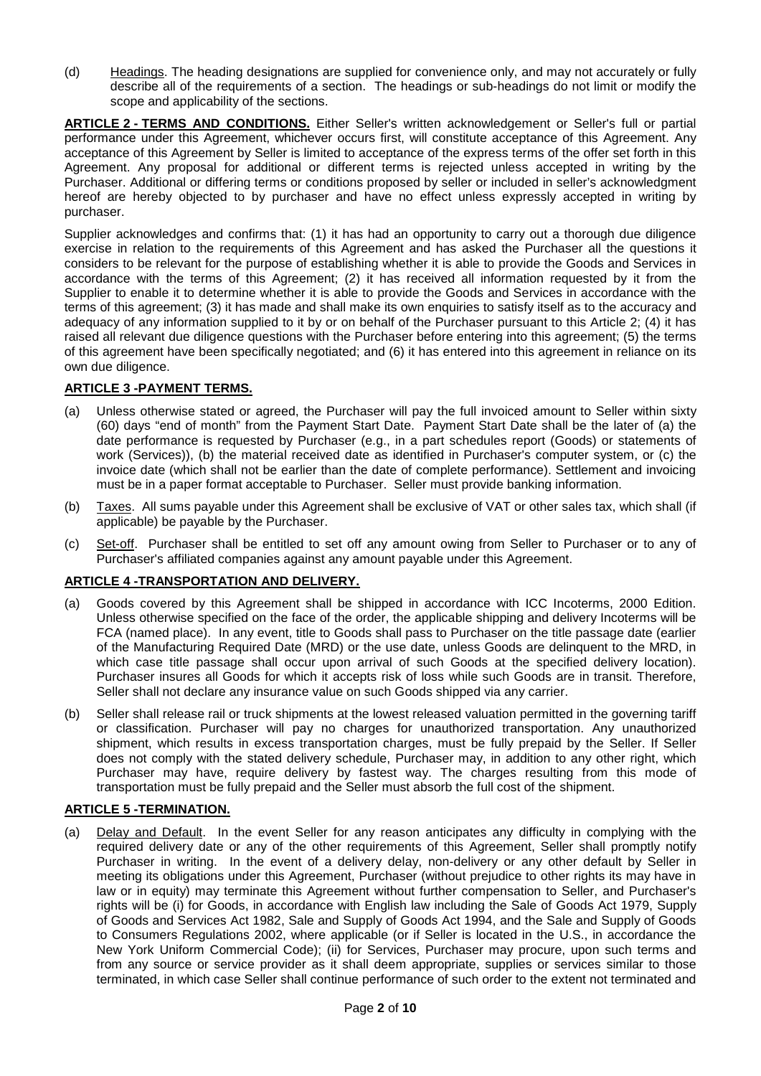(d) Headings. The heading designations are supplied for convenience only, and may not accurately or fully describe all of the requirements of a section. The headings or sub-headings do not limit or modify the scope and applicability of the sections.

**ARTICLE 2 - TERMS AND CONDITIONS.** Either Seller's written acknowledgement or Seller's full or partial performance under this Agreement, whichever occurs first, will constitute acceptance of this Agreement. Any acceptance of this Agreement by Seller is limited to acceptance of the express terms of the offer set forth in this Agreement. Any proposal for additional or different terms is rejected unless accepted in writing by the Purchaser. Additional or differing terms or conditions proposed by seller or included in seller's acknowledgment hereof are hereby objected to by purchaser and have no effect unless expressly accepted in writing by purchaser.

Supplier acknowledges and confirms that: (1) it has had an opportunity to carry out a thorough due diligence exercise in relation to the requirements of this Agreement and has asked the Purchaser all the questions it considers to be relevant for the purpose of establishing whether it is able to provide the Goods and Services in accordance with the terms of this Agreement; (2) it has received all information requested by it from the Supplier to enable it to determine whether it is able to provide the Goods and Services in accordance with the terms of this agreement; (3) it has made and shall make its own enquiries to satisfy itself as to the accuracy and adequacy of any information supplied to it by or on behalf of the Purchaser pursuant to this Article 2; (4) it has raised all relevant due diligence questions with the Purchaser before entering into this agreement; (5) the terms of this agreement have been specifically negotiated; and (6) it has entered into this agreement in reliance on its own due diligence.

## **ARTICLE 3 -PAYMENT TERMS.**

- (a) Unless otherwise stated or agreed, the Purchaser will pay the full invoiced amount to Seller within sixty (60) days "end of month" from the Payment Start Date. Payment Start Date shall be the later of (a) the date performance is requested by Purchaser (e.g., in a part schedules report (Goods) or statements of work (Services)), (b) the material received date as identified in Purchaser's computer system, or (c) the invoice date (which shall not be earlier than the date of complete performance). Settlement and invoicing must be in a paper format acceptable to Purchaser. Seller must provide banking information.
- (b) Taxes. All sums payable under this Agreement shall be exclusive of VAT or other sales tax, which shall (if applicable) be payable by the Purchaser.
- (c) Set-off. Purchaser shall be entitled to set off any amount owing from Seller to Purchaser or to any of Purchaser's affiliated companies against any amount payable under this Agreement.

## **ARTICLE 4 -TRANSPORTATION AND DELIVERY.**

- (a) Goods covered by this Agreement shall be shipped in accordance with ICC Incoterms, 2000 Edition. Unless otherwise specified on the face of the order, the applicable shipping and delivery Incoterms will be FCA (named place). In any event, title to Goods shall pass to Purchaser on the title passage date (earlier of the Manufacturing Required Date (MRD) or the use date, unless Goods are delinquent to the MRD, in which case title passage shall occur upon arrival of such Goods at the specified delivery location). Purchaser insures all Goods for which it accepts risk of loss while such Goods are in transit. Therefore, Seller shall not declare any insurance value on such Goods shipped via any carrier.
- (b) Seller shall release rail or truck shipments at the lowest released valuation permitted in the governing tariff or classification. Purchaser will pay no charges for unauthorized transportation. Any unauthorized shipment, which results in excess transportation charges, must be fully prepaid by the Seller. If Seller does not comply with the stated delivery schedule, Purchaser may, in addition to any other right, which Purchaser may have, require delivery by fastest way. The charges resulting from this mode of transportation must be fully prepaid and the Seller must absorb the full cost of the shipment.

### **ARTICLE 5 -TERMINATION.**

(a) Delay and Default. In the event Seller for any reason anticipates any difficulty in complying with the required delivery date or any of the other requirements of this Agreement, Seller shall promptly notify Purchaser in writing. In the event of a delivery delay, non-delivery or any other default by Seller in meeting its obligations under this Agreement, Purchaser (without prejudice to other rights its may have in law or in equity) may terminate this Agreement without further compensation to Seller, and Purchaser's rights will be (i) for Goods, in accordance with English law including the Sale of Goods Act 1979, Supply of Goods and Services Act 1982, Sale and Supply of Goods Act 1994, and the Sale and Supply of Goods to Consumers Regulations 2002, where applicable (or if Seller is located in the U.S., in accordance the New York Uniform Commercial Code); (ii) for Services, Purchaser may procure, upon such terms and from any source or service provider as it shall deem appropriate, supplies or services similar to those terminated, in which case Seller shall continue performance of such order to the extent not terminated and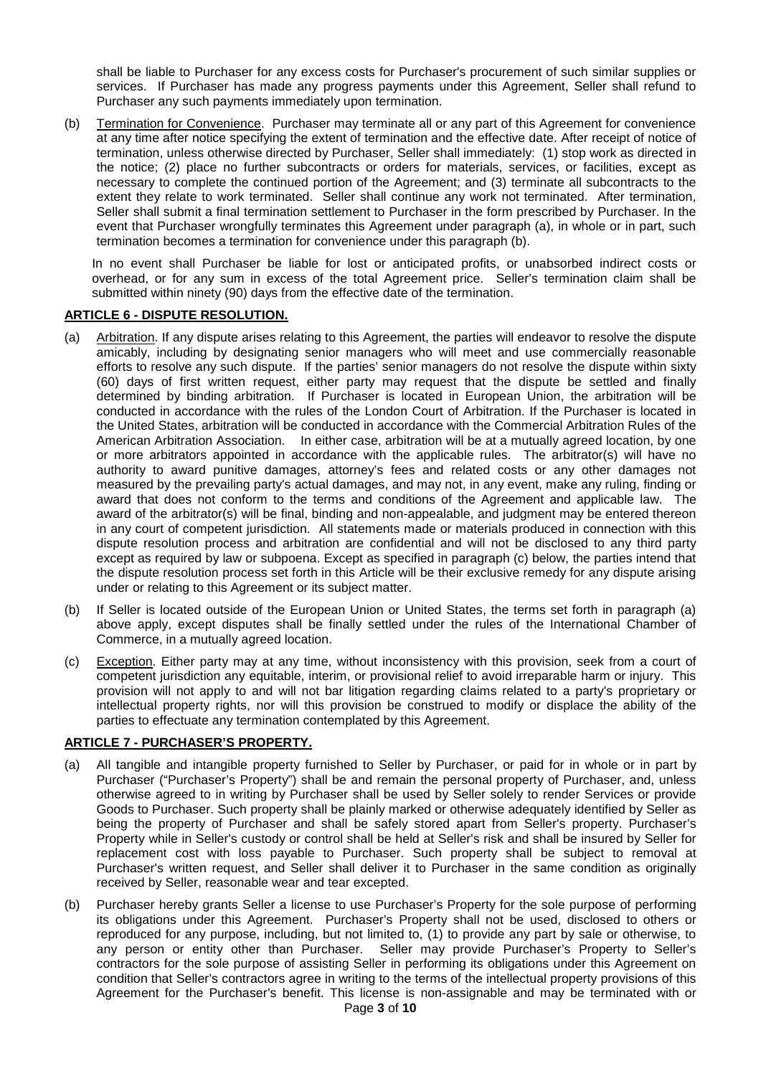shall be liable to Purchaser for any excess costs for Purchaser's procurement of such similar supplies or services. If Purchaser has made any progress payments under this Agreement, Seller shall refund to Purchaser any such payments immediately upon termination.

(b) Termination for Convenience. Purchaser may terminate all or any part of this Agreement for convenience at any time after notice specifying the extent of termination and the effective date. After receipt of notice of termination, unless otherwise directed by Purchaser, Seller shall immediately: (1) stop work as directed in the notice; (2) place no further subcontracts or orders for materials, services, or facilities, except as necessary to complete the continued portion of the Agreement; and (3) terminate all subcontracts to the extent they relate to work terminated. Seller shall continue any work not terminated. After termination, Seller shall submit a final termination settlement to Purchaser in the form prescribed by Purchaser. In the event that Purchaser wrongfully terminates this Agreement under paragraph (a), in whole or in part, such termination becomes a termination for convenience under this paragraph (b).

In no event shall Purchaser be liable for lost or anticipated profits, or unabsorbed indirect costs or overhead, or for any sum in excess of the total Agreement price. Seller's termination claim shall be submitted within ninety (90) days from the effective date of the termination.

#### **ARTICLE 6 - DISPUTE RESOLUTION.**

- (a) Arbitration. If any dispute arises relating to this Agreement, the parties will endeavor to resolve the dispute amicably, including by designating senior managers who will meet and use commercially reasonable efforts to resolve any such dispute. If the parties' senior managers do not resolve the dispute within sixty (60) days of first written request, either party may request that the dispute be settled and finally determined by binding arbitration. If Purchaser is located in European Union, the arbitration will be conducted in accordance with the rules of the London Court of Arbitration. If the Purchaser is located in the United States, arbitration will be conducted in accordance with the Commercial Arbitration Rules of the American Arbitration Association. In either case, arbitration will be at a mutually agreed location, by one or more arbitrators appointed in accordance with the applicable rules. The arbitrator(s) will have no authority to award punitive damages, attorney's fees and related costs or any other damages not measured by the prevailing party's actual damages, and may not, in any event, make any ruling, finding or award that does not conform to the terms and conditions of the Agreement and applicable law. The award of the arbitrator(s) will be final, binding and non-appealable, and judgment may be entered thereon in any court of competent jurisdiction. All statements made or materials produced in connection with this dispute resolution process and arbitration are confidential and will not be disclosed to any third party except as required by law or subpoena. Except as specified in paragraph (c) below, the parties intend that the dispute resolution process set forth in this Article will be their exclusive remedy for any dispute arising under or relating to this Agreement or its subject matter.
- (b) If Seller is located outside of the European Union or United States, the terms set forth in paragraph (a) above apply, except disputes shall be finally settled under the rules of the International Chamber of Commerce, in a mutually agreed location.
- (c) Exception. Either party may at any time, without inconsistency with this provision, seek from a court of competent jurisdiction any equitable, interim, or provisional relief to avoid irreparable harm or injury. This provision will not apply to and will not bar litigation regarding claims related to a party's proprietary or intellectual property rights, nor will this provision be construed to modify or displace the ability of the parties to effectuate any termination contemplated by this Agreement.

### **ARTICLE 7 - PURCHASER'S PROPERTY.**

- (a) All tangible and intangible property furnished to Seller by Purchaser, or paid for in whole or in part by Purchaser ("Purchaser's Property") shall be and remain the personal property of Purchaser, and, unless otherwise agreed to in writing by Purchaser shall be used by Seller solely to render Services or provide Goods to Purchaser. Such property shall be plainly marked or otherwise adequately identified by Seller as being the property of Purchaser and shall be safely stored apart from Seller's property. Purchaser's Property while in Seller's custody or control shall be held at Seller's risk and shall be insured by Seller for replacement cost with loss payable to Purchaser. Such property shall be subject to removal at Purchaser's written request, and Seller shall deliver it to Purchaser in the same condition as originally received by Seller, reasonable wear and tear excepted.
- (b) Purchaser hereby grants Seller a license to use Purchaser's Property for the sole purpose of performing its obligations under this Agreement. Purchaser's Property shall not be used, disclosed to others or reproduced for any purpose, including, but not limited to, (1) to provide any part by sale or otherwise, to any person or entity other than Purchaser. Seller may provide Purchaser's Property to Seller's contractors for the sole purpose of assisting Seller in performing its obligations under this Agreement on condition that Seller's contractors agree in writing to the terms of the intellectual property provisions of this Agreement for the Purchaser's benefit. This license is non-assignable and may be terminated with or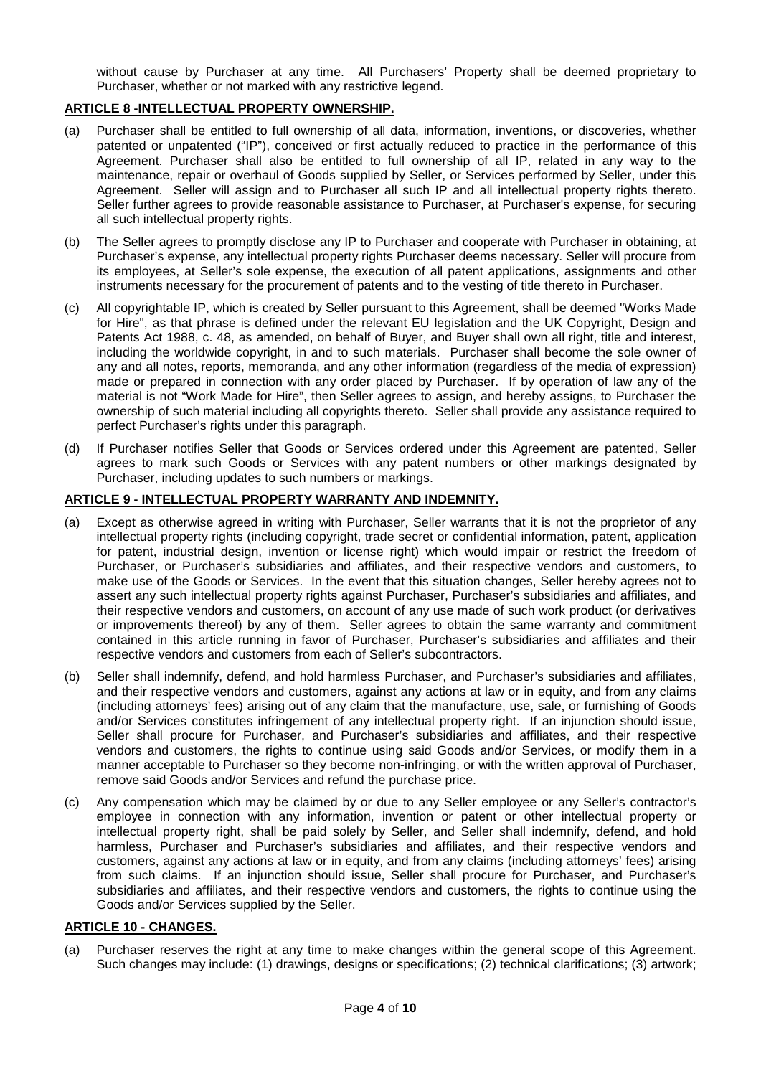without cause by Purchaser at any time. All Purchasers' Property shall be deemed proprietary to Purchaser, whether or not marked with any restrictive legend.

## **ARTICLE 8 -INTELLECTUAL PROPERTY OWNERSHIP.**

- (a) Purchaser shall be entitled to full ownership of all data, information, inventions, or discoveries, whether patented or unpatented ("IP"), conceived or first actually reduced to practice in the performance of this Agreement. Purchaser shall also be entitled to full ownership of all IP, related in any way to the maintenance, repair or overhaul of Goods supplied by Seller, or Services performed by Seller, under this Agreement. Seller will assign and to Purchaser all such IP and all intellectual property rights thereto. Seller further agrees to provide reasonable assistance to Purchaser, at Purchaser's expense, for securing all such intellectual property rights.
- (b) The Seller agrees to promptly disclose any IP to Purchaser and cooperate with Purchaser in obtaining, at Purchaser's expense, any intellectual property rights Purchaser deems necessary. Seller will procure from its employees, at Seller's sole expense, the execution of all patent applications, assignments and other instruments necessary for the procurement of patents and to the vesting of title thereto in Purchaser.
- (c) All copyrightable IP, which is created by Seller pursuant to this Agreement, shall be deemed "Works Made for Hire", as that phrase is defined under the relevant EU legislation and the UK Copyright, Design and Patents Act 1988, c. 48, as amended, on behalf of Buyer, and Buyer shall own all right, title and interest, including the worldwide copyright, in and to such materials. Purchaser shall become the sole owner of any and all notes, reports, memoranda, and any other information (regardless of the media of expression) made or prepared in connection with any order placed by Purchaser. If by operation of law any of the material is not "Work Made for Hire", then Seller agrees to assign, and hereby assigns, to Purchaser the ownership of such material including all copyrights thereto. Seller shall provide any assistance required to perfect Purchaser's rights under this paragraph.
- (d) If Purchaser notifies Seller that Goods or Services ordered under this Agreement are patented, Seller agrees to mark such Goods or Services with any patent numbers or other markings designated by Purchaser, including updates to such numbers or markings.

### **ARTICLE 9 - INTELLECTUAL PROPERTY WARRANTY AND INDEMNITY.**

- (a) Except as otherwise agreed in writing with Purchaser, Seller warrants that it is not the proprietor of any intellectual property rights (including copyright, trade secret or confidential information, patent, application for patent, industrial design, invention or license right) which would impair or restrict the freedom of Purchaser, or Purchaser's subsidiaries and affiliates, and their respective vendors and customers, to make use of the Goods or Services. In the event that this situation changes, Seller hereby agrees not to assert any such intellectual property rights against Purchaser, Purchaser's subsidiaries and affiliates, and their respective vendors and customers, on account of any use made of such work product (or derivatives or improvements thereof) by any of them. Seller agrees to obtain the same warranty and commitment contained in this article running in favor of Purchaser, Purchaser's subsidiaries and affiliates and their respective vendors and customers from each of Seller's subcontractors.
- (b) Seller shall indemnify, defend, and hold harmless Purchaser, and Purchaser's subsidiaries and affiliates, and their respective vendors and customers, against any actions at law or in equity, and from any claims (including attorneys' fees) arising out of any claim that the manufacture, use, sale, or furnishing of Goods and/or Services constitutes infringement of any intellectual property right. If an injunction should issue, Seller shall procure for Purchaser, and Purchaser's subsidiaries and affiliates, and their respective vendors and customers, the rights to continue using said Goods and/or Services, or modify them in a manner acceptable to Purchaser so they become non-infringing, or with the written approval of Purchaser, remove said Goods and/or Services and refund the purchase price.
- (c) Any compensation which may be claimed by or due to any Seller employee or any Seller's contractor's employee in connection with any information, invention or patent or other intellectual property or intellectual property right, shall be paid solely by Seller, and Seller shall indemnify, defend, and hold harmless, Purchaser and Purchaser's subsidiaries and affiliates, and their respective vendors and customers, against any actions at law or in equity, and from any claims (including attorneys' fees) arising from such claims. If an injunction should issue, Seller shall procure for Purchaser, and Purchaser's subsidiaries and affiliates, and their respective vendors and customers, the rights to continue using the Goods and/or Services supplied by the Seller.

### **ARTICLE 10 - CHANGES.**

(a) Purchaser reserves the right at any time to make changes within the general scope of this Agreement. Such changes may include: (1) drawings, designs or specifications; (2) technical clarifications; (3) artwork;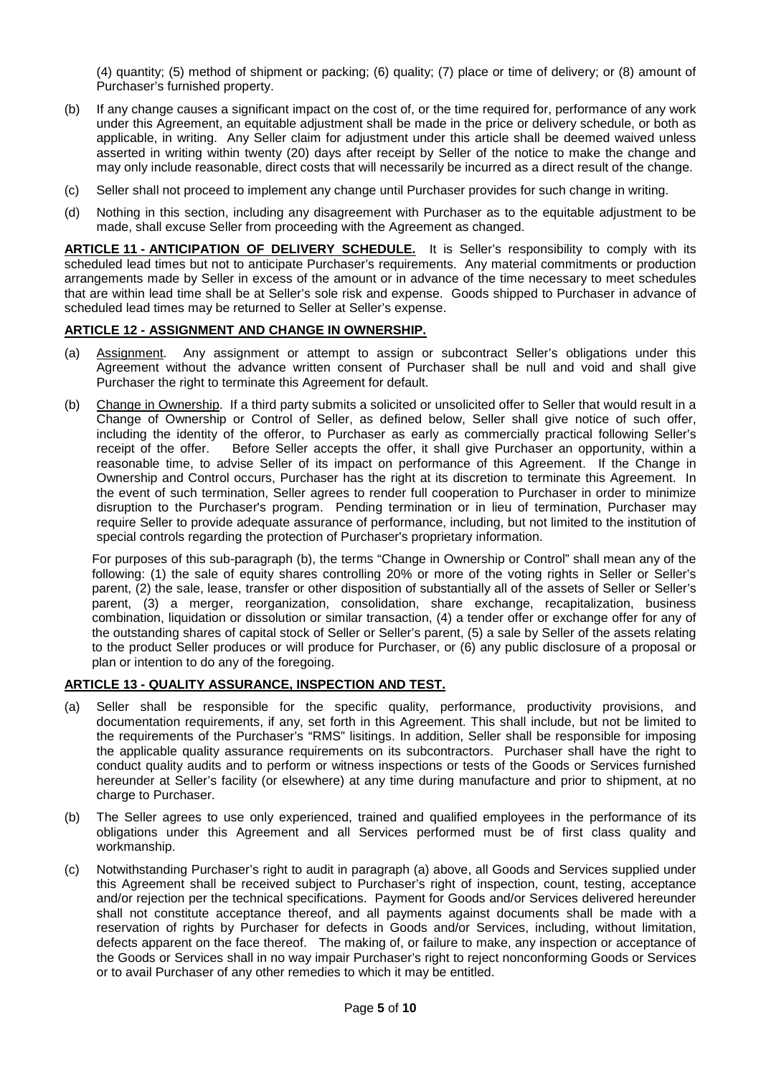(4) quantity; (5) method of shipment or packing; (6) quality; (7) place or time of delivery; or (8) amount of Purchaser's furnished property.

- (b) If any change causes a significant impact on the cost of, or the time required for, performance of any work under this Agreement, an equitable adjustment shall be made in the price or delivery schedule, or both as applicable, in writing. Any Seller claim for adjustment under this article shall be deemed waived unless asserted in writing within twenty (20) days after receipt by Seller of the notice to make the change and may only include reasonable, direct costs that will necessarily be incurred as a direct result of the change.
- (c) Seller shall not proceed to implement any change until Purchaser provides for such change in writing.
- (d) Nothing in this section, including any disagreement with Purchaser as to the equitable adjustment to be made, shall excuse Seller from proceeding with the Agreement as changed.

**ARTICLE 11 - ANTICIPATION OF DELIVERY SCHEDULE.** It is Seller's responsibility to comply with its scheduled lead times but not to anticipate Purchaser's requirements. Any material commitments or production arrangements made by Seller in excess of the amount or in advance of the time necessary to meet schedules that are within lead time shall be at Seller's sole risk and expense. Goods shipped to Purchaser in advance of scheduled lead times may be returned to Seller at Seller's expense.

### **ARTICLE 12 - ASSIGNMENT AND CHANGE IN OWNERSHIP.**

- (a) Assignment. Any assignment or attempt to assign or subcontract Seller's obligations under this Agreement without the advance written consent of Purchaser shall be null and void and shall give Purchaser the right to terminate this Agreement for default.
- (b) Change in Ownership. If a third party submits a solicited or unsolicited offer to Seller that would result in a Change of Ownership or Control of Seller, as defined below, Seller shall give notice of such offer, including the identity of the offeror, to Purchaser as early as commercially practical following Seller's receipt of the offer. Before Seller accepts the offer, it shall give Purchaser an opportunity, within a reasonable time, to advise Seller of its impact on performance of this Agreement. If the Change in Ownership and Control occurs, Purchaser has the right at its discretion to terminate this Agreement. In the event of such termination, Seller agrees to render full cooperation to Purchaser in order to minimize disruption to the Purchaser's program. Pending termination or in lieu of termination, Purchaser may require Seller to provide adequate assurance of performance, including, but not limited to the institution of special controls regarding the protection of Purchaser's proprietary information.

For purposes of this sub-paragraph (b), the terms "Change in Ownership or Control" shall mean any of the following: (1) the sale of equity shares controlling 20% or more of the voting rights in Seller or Seller's parent, (2) the sale, lease, transfer or other disposition of substantially all of the assets of Seller or Seller's parent, (3) a merger, reorganization, consolidation, share exchange, recapitalization, business combination, liquidation or dissolution or similar transaction, (4) a tender offer or exchange offer for any of the outstanding shares of capital stock of Seller or Seller's parent, (5) a sale by Seller of the assets relating to the product Seller produces or will produce for Purchaser, or (6) any public disclosure of a proposal or plan or intention to do any of the foregoing.

### **ARTICLE 13 - QUALITY ASSURANCE, INSPECTION AND TEST.**

- (a) Seller shall be responsible for the specific quality, performance, productivity provisions, and documentation requirements, if any, set forth in this Agreement. This shall include, but not be limited to the requirements of the Purchaser's "RMS" lisitings. In addition, Seller shall be responsible for imposing the applicable quality assurance requirements on its subcontractors. Purchaser shall have the right to conduct quality audits and to perform or witness inspections or tests of the Goods or Services furnished hereunder at Seller's facility (or elsewhere) at any time during manufacture and prior to shipment, at no charge to Purchaser.
- (b) The Seller agrees to use only experienced, trained and qualified employees in the performance of its obligations under this Agreement and all Services performed must be of first class quality and workmanship.
- (c) Notwithstanding Purchaser's right to audit in paragraph (a) above, all Goods and Services supplied under this Agreement shall be received subject to Purchaser's right of inspection, count, testing, acceptance and/or rejection per the technical specifications. Payment for Goods and/or Services delivered hereunder shall not constitute acceptance thereof, and all payments against documents shall be made with a reservation of rights by Purchaser for defects in Goods and/or Services, including, without limitation, defects apparent on the face thereof. The making of, or failure to make, any inspection or acceptance of the Goods or Services shall in no way impair Purchaser's right to reject nonconforming Goods or Services or to avail Purchaser of any other remedies to which it may be entitled.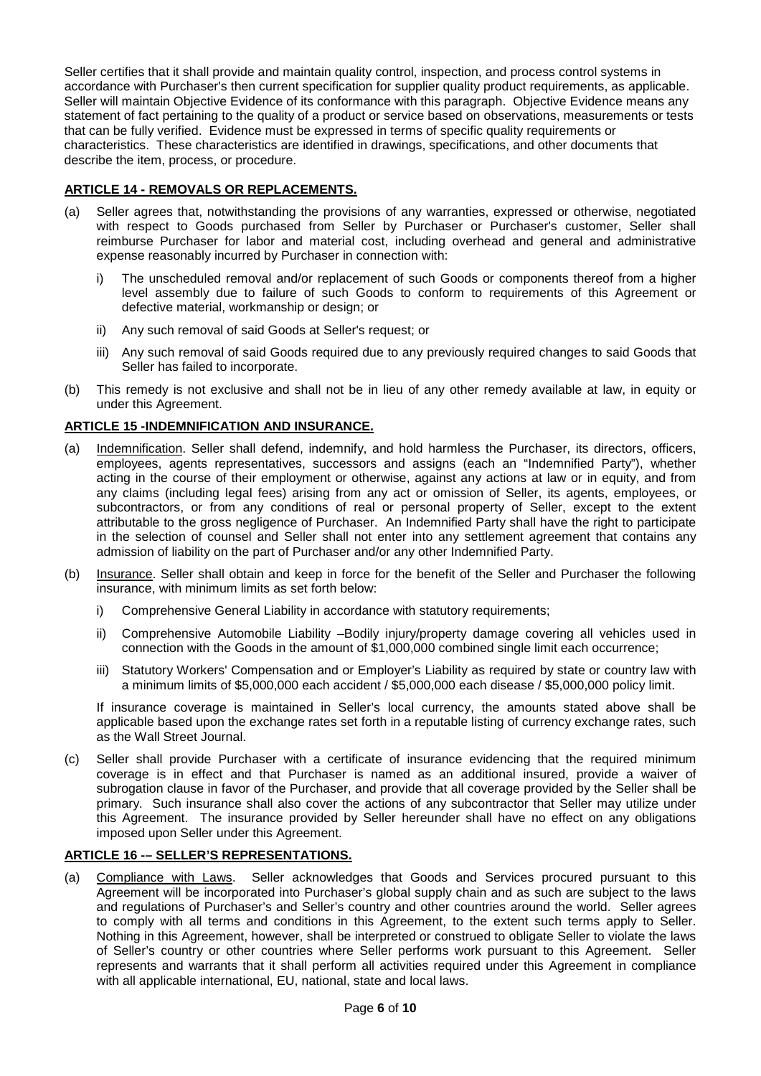Seller certifies that it shall provide and maintain quality control, inspection, and process control systems in accordance with Purchaser's then current specification for supplier quality product requirements, as applicable. Seller will maintain Objective Evidence of its conformance with this paragraph. Objective Evidence means any statement of fact pertaining to the quality of a product or service based on observations, measurements or tests that can be fully verified. Evidence must be expressed in terms of specific quality requirements or characteristics. These characteristics are identified in drawings, specifications, and other documents that describe the item, process, or procedure.

### **ARTICLE 14 - REMOVALS OR REPLACEMENTS.**

- (a) Seller agrees that, notwithstanding the provisions of any warranties, expressed or otherwise, negotiated with respect to Goods purchased from Seller by Purchaser or Purchaser's customer, Seller shall reimburse Purchaser for labor and material cost, including overhead and general and administrative expense reasonably incurred by Purchaser in connection with:
	- i) The unscheduled removal and/or replacement of such Goods or components thereof from a higher level assembly due to failure of such Goods to conform to requirements of this Agreement or defective material, workmanship or design; or
	- ii) Any such removal of said Goods at Seller's request; or
	- iii) Any such removal of said Goods required due to any previously required changes to said Goods that Seller has failed to incorporate.
- (b) This remedy is not exclusive and shall not be in lieu of any other remedy available at law, in equity or under this Agreement.

## **ARTICLE 15 -INDEMNIFICATION AND INSURANCE.**

- (a) Indemnification. Seller shall defend, indemnify, and hold harmless the Purchaser, its directors, officers, employees, agents representatives, successors and assigns (each an "Indemnified Party"), whether acting in the course of their employment or otherwise, against any actions at law or in equity, and from any claims (including legal fees) arising from any act or omission of Seller, its agents, employees, or subcontractors, or from any conditions of real or personal property of Seller, except to the extent attributable to the gross negligence of Purchaser. An Indemnified Party shall have the right to participate in the selection of counsel and Seller shall not enter into any settlement agreement that contains any admission of liability on the part of Purchaser and/or any other Indemnified Party.
- (b) Insurance. Seller shall obtain and keep in force for the benefit of the Seller and Purchaser the following insurance, with minimum limits as set forth below:
	- i) Comprehensive General Liability in accordance with statutory requirements;
	- ii) Comprehensive Automobile Liability –Bodily injury/property damage covering all vehicles used in connection with the Goods in the amount of \$1,000,000 combined single limit each occurrence;
	- iii) Statutory Workers' Compensation and or Employer's Liability as required by state or country law with a minimum limits of \$5,000,000 each accident / \$5,000,000 each disease / \$5,000,000 policy limit.

If insurance coverage is maintained in Seller's local currency, the amounts stated above shall be applicable based upon the exchange rates set forth in a reputable listing of currency exchange rates, such as the Wall Street Journal.

(c) Seller shall provide Purchaser with a certificate of insurance evidencing that the required minimum coverage is in effect and that Purchaser is named as an additional insured, provide a waiver of subrogation clause in favor of the Purchaser, and provide that all coverage provided by the Seller shall be primary. Such insurance shall also cover the actions of any subcontractor that Seller may utilize under this Agreement. The insurance provided by Seller hereunder shall have no effect on any obligations imposed upon Seller under this Agreement.

### **ARTICLE 16 -– SELLER'S REPRESENTATIONS.**

(a) Compliance with Laws. Seller acknowledges that Goods and Services procured pursuant to this Agreement will be incorporated into Purchaser's global supply chain and as such are subject to the laws and regulations of Purchaser's and Seller's country and other countries around the world. Seller agrees to comply with all terms and conditions in this Agreement, to the extent such terms apply to Seller. Nothing in this Agreement, however, shall be interpreted or construed to obligate Seller to violate the laws of Seller's country or other countries where Seller performs work pursuant to this Agreement. Seller represents and warrants that it shall perform all activities required under this Agreement in compliance with all applicable international, EU, national, state and local laws.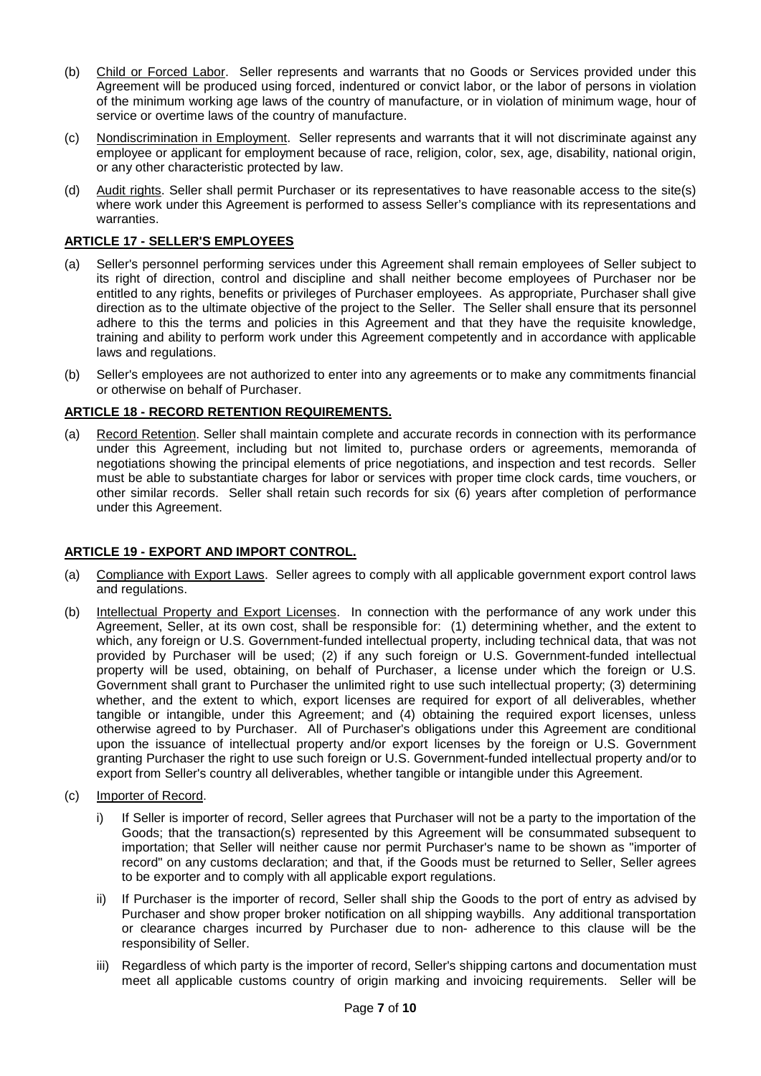- (b) Child or Forced Labor. Seller represents and warrants that no Goods or Services provided under this Agreement will be produced using forced, indentured or convict labor, or the labor of persons in violation of the minimum working age laws of the country of manufacture, or in violation of minimum wage, hour of service or overtime laws of the country of manufacture.
- (c) Nondiscrimination in Employment. Seller represents and warrants that it will not discriminate against any employee or applicant for employment because of race, religion, color, sex, age, disability, national origin, or any other characteristic protected by law.
- (d) Audit rights. Seller shall permit Purchaser or its representatives to have reasonable access to the site(s) where work under this Agreement is performed to assess Seller's compliance with its representations and warranties.

## **ARTICLE 17 - SELLER'S EMPLOYEES**

- (a) Seller's personnel performing services under this Agreement shall remain employees of Seller subject to its right of direction, control and discipline and shall neither become employees of Purchaser nor be entitled to any rights, benefits or privileges of Purchaser employees. As appropriate, Purchaser shall give direction as to the ultimate objective of the project to the Seller. The Seller shall ensure that its personnel adhere to this the terms and policies in this Agreement and that they have the requisite knowledge, training and ability to perform work under this Agreement competently and in accordance with applicable laws and regulations.
- (b) Seller's employees are not authorized to enter into any agreements or to make any commitments financial or otherwise on behalf of Purchaser.

## **ARTICLE 18 - RECORD RETENTION REQUIREMENTS.**

(a) Record Retention. Seller shall maintain complete and accurate records in connection with its performance under this Agreement, including but not limited to, purchase orders or agreements, memoranda of negotiations showing the principal elements of price negotiations, and inspection and test records. Seller must be able to substantiate charges for labor or services with proper time clock cards, time vouchers, or other similar records. Seller shall retain such records for six (6) years after completion of performance under this Agreement.

### **ARTICLE 19 - EXPORT AND IMPORT CONTROL.**

- (a) Compliance with Export Laws. Seller agrees to comply with all applicable government export control laws and regulations.
- (b) Intellectual Property and Export Licenses. In connection with the performance of any work under this Agreement, Seller, at its own cost, shall be responsible for: (1) determining whether, and the extent to which, any foreign or U.S. Government-funded intellectual property, including technical data, that was not provided by Purchaser will be used; (2) if any such foreign or U.S. Government-funded intellectual property will be used, obtaining, on behalf of Purchaser, a license under which the foreign or U.S. Government shall grant to Purchaser the unlimited right to use such intellectual property; (3) determining whether, and the extent to which, export licenses are required for export of all deliverables, whether tangible or intangible, under this Agreement; and (4) obtaining the required export licenses, unless otherwise agreed to by Purchaser. All of Purchaser's obligations under this Agreement are conditional upon the issuance of intellectual property and/or export licenses by the foreign or U.S. Government granting Purchaser the right to use such foreign or U.S. Government-funded intellectual property and/or to export from Seller's country all deliverables, whether tangible or intangible under this Agreement.
- (c) Importer of Record.
	- i) If Seller is importer of record, Seller agrees that Purchaser will not be a party to the importation of the Goods; that the transaction(s) represented by this Agreement will be consummated subsequent to importation; that Seller will neither cause nor permit Purchaser's name to be shown as "importer of record" on any customs declaration; and that, if the Goods must be returned to Seller, Seller agrees to be exporter and to comply with all applicable export regulations.
	- ii) If Purchaser is the importer of record, Seller shall ship the Goods to the port of entry as advised by Purchaser and show proper broker notification on all shipping waybills. Any additional transportation or clearance charges incurred by Purchaser due to non- adherence to this clause will be the responsibility of Seller.
	- iii) Regardless of which party is the importer of record, Seller's shipping cartons and documentation must meet all applicable customs country of origin marking and invoicing requirements. Seller will be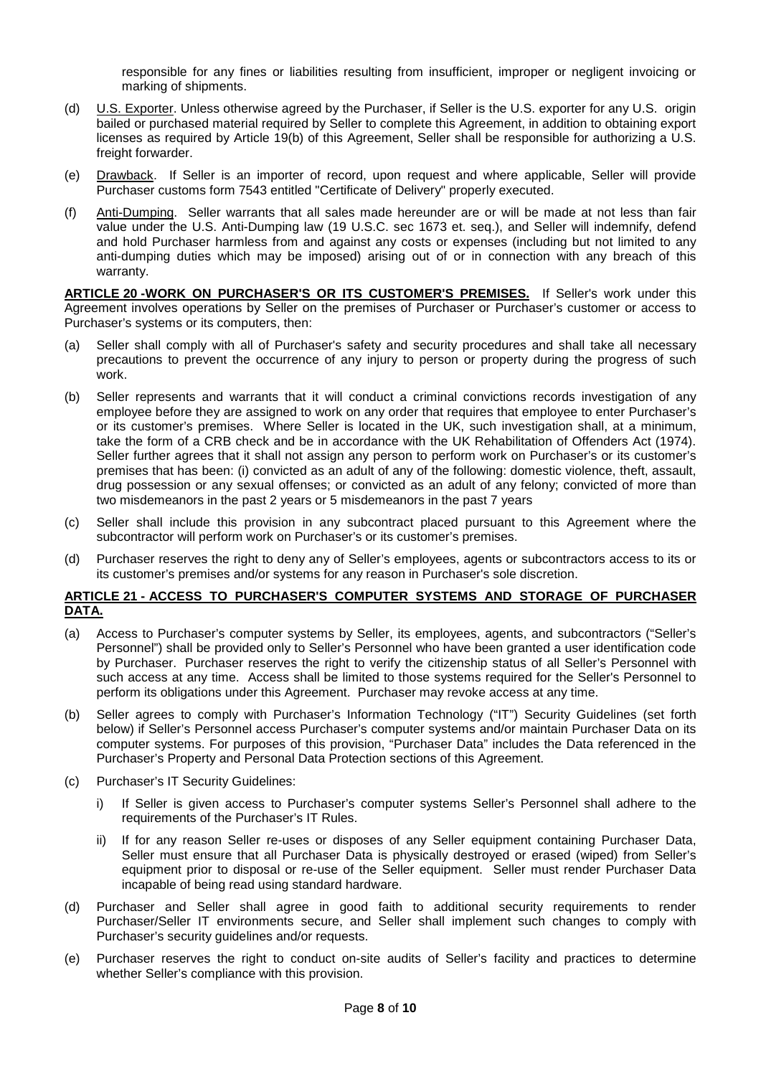responsible for any fines or liabilities resulting from insufficient, improper or negligent invoicing or marking of shipments.

- (d) U.S. Exporter. Unless otherwise agreed by the Purchaser, if Seller is the U.S. exporter for any U.S. origin bailed or purchased material required by Seller to complete this Agreement, in addition to obtaining export licenses as required by Article 19(b) of this Agreement, Seller shall be responsible for authorizing a U.S. freight forwarder.
- (e) Drawback. If Seller is an importer of record, upon request and where applicable, Seller will provide Purchaser customs form 7543 entitled "Certificate of Delivery" properly executed.
- (f) Anti-Dumping. Seller warrants that all sales made hereunder are or will be made at not less than fair value under the U.S. Anti-Dumping law (19 U.S.C. sec 1673 et. seq.), and Seller will indemnify, defend and hold Purchaser harmless from and against any costs or expenses (including but not limited to any anti-dumping duties which may be imposed) arising out of or in connection with any breach of this warranty.

**ARTICLE 20 -WORK ON PURCHASER'S OR ITS CUSTOMER'S PREMISES.** If Seller's work under this Agreement involves operations by Seller on the premises of Purchaser or Purchaser's customer or access to Purchaser's systems or its computers, then:

- (a) Seller shall comply with all of Purchaser's safety and security procedures and shall take all necessary precautions to prevent the occurrence of any injury to person or property during the progress of such work.
- (b) Seller represents and warrants that it will conduct a criminal convictions records investigation of any employee before they are assigned to work on any order that requires that employee to enter Purchaser's or its customer's premises. Where Seller is located in the UK, such investigation shall, at a minimum, take the form of a CRB check and be in accordance with the UK Rehabilitation of Offenders Act (1974). Seller further agrees that it shall not assign any person to perform work on Purchaser's or its customer's premises that has been: (i) convicted as an adult of any of the following: domestic violence, theft, assault, drug possession or any sexual offenses; or convicted as an adult of any felony; convicted of more than two misdemeanors in the past 2 years or 5 misdemeanors in the past 7 years
- (c) Seller shall include this provision in any subcontract placed pursuant to this Agreement where the subcontractor will perform work on Purchaser's or its customer's premises.
- (d) Purchaser reserves the right to deny any of Seller's employees, agents or subcontractors access to its or its customer's premises and/or systems for any reason in Purchaser's sole discretion.

#### **ARTICLE 21 - ACCESS TO PURCHASER'S COMPUTER SYSTEMS AND STORAGE OF PURCHASER DATA.**

- (a) Access to Purchaser's computer systems by Seller, its employees, agents, and subcontractors ("Seller's Personnel") shall be provided only to Seller's Personnel who have been granted a user identification code by Purchaser. Purchaser reserves the right to verify the citizenship status of all Seller's Personnel with such access at any time. Access shall be limited to those systems required for the Seller's Personnel to perform its obligations under this Agreement. Purchaser may revoke access at any time.
- (b) Seller agrees to comply with Purchaser's Information Technology ("IT") Security Guidelines (set forth below) if Seller's Personnel access Purchaser's computer systems and/or maintain Purchaser Data on its computer systems. For purposes of this provision, "Purchaser Data" includes the Data referenced in the Purchaser's Property and Personal Data Protection sections of this Agreement.
- (c) Purchaser's IT Security Guidelines:
	- i) If Seller is given access to Purchaser's computer systems Seller's Personnel shall adhere to the requirements of the Purchaser's IT Rules.
	- ii) If for any reason Seller re-uses or disposes of any Seller equipment containing Purchaser Data, Seller must ensure that all Purchaser Data is physically destroyed or erased (wiped) from Seller's equipment prior to disposal or re-use of the Seller equipment. Seller must render Purchaser Data incapable of being read using standard hardware.
- (d) Purchaser and Seller shall agree in good faith to additional security requirements to render Purchaser/Seller IT environments secure, and Seller shall implement such changes to comply with Purchaser's security guidelines and/or requests.
- (e) Purchaser reserves the right to conduct on-site audits of Seller's facility and practices to determine whether Seller's compliance with this provision.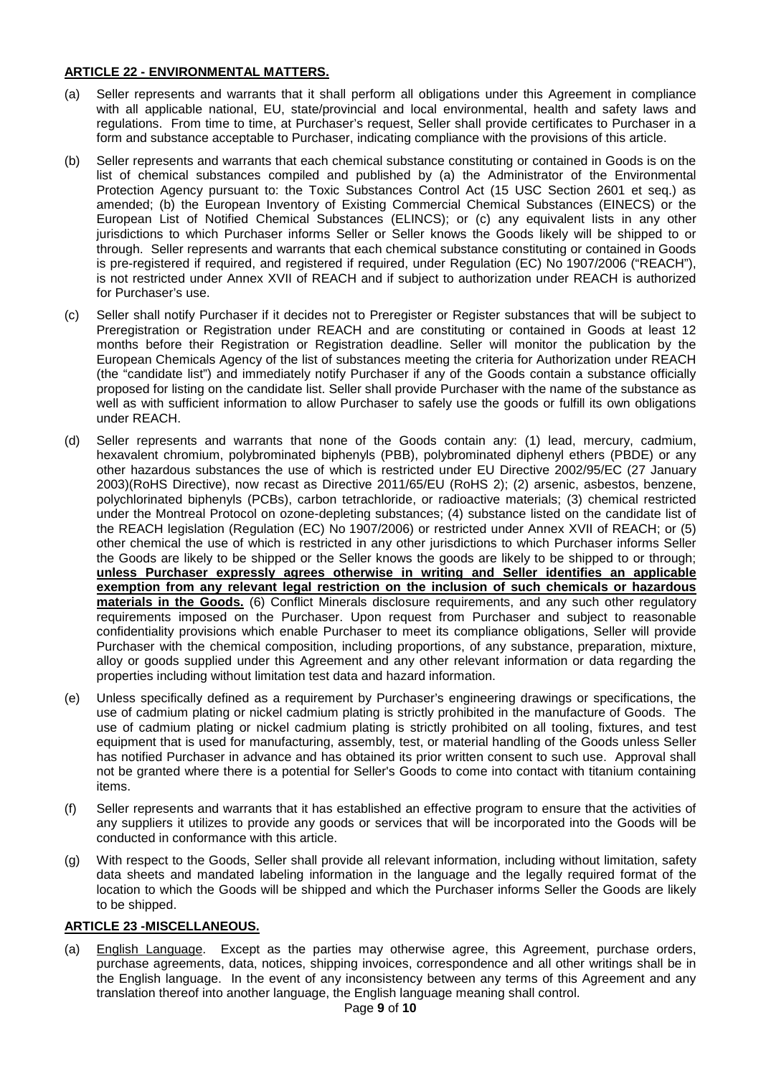## **ARTICLE 22 - ENVIRONMENTAL MATTERS.**

- (a) Seller represents and warrants that it shall perform all obligations under this Agreement in compliance with all applicable national, EU, state/provincial and local environmental, health and safety laws and regulations. From time to time, at Purchaser's request, Seller shall provide certificates to Purchaser in a form and substance acceptable to Purchaser, indicating compliance with the provisions of this article.
- (b) Seller represents and warrants that each chemical substance constituting or contained in Goods is on the list of chemical substances compiled and published by (a) the Administrator of the Environmental Protection Agency pursuant to: the Toxic Substances Control Act (15 USC Section 2601 et seq.) as amended; (b) the European Inventory of Existing Commercial Chemical Substances (EINECS) or the European List of Notified Chemical Substances (ELINCS); or (c) any equivalent lists in any other jurisdictions to which Purchaser informs Seller or Seller knows the Goods likely will be shipped to or through. Seller represents and warrants that each chemical substance constituting or contained in Goods is pre-registered if required, and registered if required, under Regulation (EC) No 1907/2006 ("REACH"), is not restricted under Annex XVII of REACH and if subject to authorization under REACH is authorized for Purchaser's use.
- (c) Seller shall notify Purchaser if it decides not to Preregister or Register substances that will be subject to Preregistration or Registration under REACH and are constituting or contained in Goods at least 12 months before their Registration or Registration deadline. Seller will monitor the publication by the European Chemicals Agency of the list of substances meeting the criteria for Authorization under REACH (the "candidate list") and immediately notify Purchaser if any of the Goods contain a substance officially proposed for listing on the candidate list. Seller shall provide Purchaser with the name of the substance as well as with sufficient information to allow Purchaser to safely use the goods or fulfill its own obligations under REACH.
- (d) Seller represents and warrants that none of the Goods contain any: (1) lead, mercury, cadmium, hexavalent chromium, polybrominated biphenyls (PBB), polybrominated diphenyl ethers (PBDE) or any other hazardous substances the use of which is restricted under EU Directive 2002/95/EC (27 January 2003)(RoHS Directive), now recast as Directive 2011/65/EU (RoHS 2); (2) arsenic, asbestos, benzene, polychlorinated biphenyls (PCBs), carbon tetrachloride, or radioactive materials; (3) chemical restricted under the Montreal Protocol on ozone-depleting substances; (4) substance listed on the candidate list of the REACH legislation (Regulation (EC) No 1907/2006) or restricted under Annex XVII of REACH; or (5) other chemical the use of which is restricted in any other jurisdictions to which Purchaser informs Seller the Goods are likely to be shipped or the Seller knows the goods are likely to be shipped to or through; **unless Purchaser expressly agrees otherwise in writing and Seller identifies an applicable exemption from any relevant legal restriction on the inclusion of such chemicals or hazardous materials in the Goods.** (6) Conflict Minerals disclosure requirements, and any such other regulatory requirements imposed on the Purchaser. Upon request from Purchaser and subject to reasonable confidentiality provisions which enable Purchaser to meet its compliance obligations, Seller will provide Purchaser with the chemical composition, including proportions, of any substance, preparation, mixture, alloy or goods supplied under this Agreement and any other relevant information or data regarding the properties including without limitation test data and hazard information.
- (e) Unless specifically defined as a requirement by Purchaser's engineering drawings or specifications, the use of cadmium plating or nickel cadmium plating is strictly prohibited in the manufacture of Goods. The use of cadmium plating or nickel cadmium plating is strictly prohibited on all tooling, fixtures, and test equipment that is used for manufacturing, assembly, test, or material handling of the Goods unless Seller has notified Purchaser in advance and has obtained its prior written consent to such use. Approval shall not be granted where there is a potential for Seller's Goods to come into contact with titanium containing items.
- (f) Seller represents and warrants that it has established an effective program to ensure that the activities of any suppliers it utilizes to provide any goods or services that will be incorporated into the Goods will be conducted in conformance with this article.
- (g) With respect to the Goods, Seller shall provide all relevant information, including without limitation, safety data sheets and mandated labeling information in the language and the legally required format of the location to which the Goods will be shipped and which the Purchaser informs Seller the Goods are likely to be shipped.

## **ARTICLE 23 -MISCELLANEOUS.**

(a) English Language. Except as the parties may otherwise agree, this Agreement, purchase orders, purchase agreements, data, notices, shipping invoices, correspondence and all other writings shall be in the English language. In the event of any inconsistency between any terms of this Agreement and any translation thereof into another language, the English language meaning shall control.